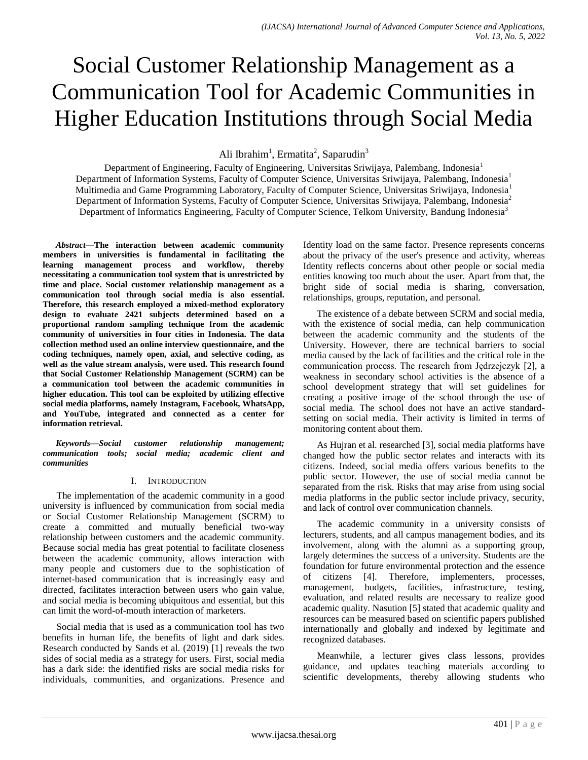# Social Customer Relationship Management as a Communication Tool for Academic Communities in Higher Education Institutions through Social Media

Ali Ibrahim<sup>1</sup>, Ermatita<sup>2</sup>, Saparudin<sup>3</sup>

Department of Engineering, Faculty of Engineering, Universitas Sriwijaya, Palembang, Indonesia<sup>1</sup> Department of Information Systems, Faculty of Computer Science, Universitas Sriwijaya, Palembang, Indonesia<sup>1</sup> Multimedia and Game Programming Laboratory, Faculty of Computer Science, Universitas Sriwijaya, Indonesia<sup>1</sup> Department of Information Systems, Faculty of Computer Science, Universitas Sriwijaya, Palembang, Indonesia<sup>2</sup> Department of Informatics Engineering, Faculty of Computer Science, Telkom University, Bandung Indonesia<sup>3</sup>

*Abstract***—The interaction between academic community members in universities is fundamental in facilitating the learning management process and workflow, thereby necessitating a communication tool system that is unrestricted by time and place. Social customer relationship management as a communication tool through social media is also essential. Therefore, this research employed a mixed-method exploratory design to evaluate 2421 subjects determined based on a proportional random sampling technique from the academic community of universities in four cities in Indonesia. The data collection method used an online interview questionnaire, and the coding techniques, namely open, axial, and selective coding, as well as the value stream analysis, were used. This research found that Social Customer Relationship Management (SCRM) can be a communication tool between the academic communities in higher education. This tool can be exploited by utilizing effective social media platforms, namely Instagram, Facebook, WhatsApp, and YouTube, integrated and connected as a center for information retrieval.**

*Keywords—Social customer relationship management; communication tools; social media; academic client and communities*

# I. INTRODUCTION

The implementation of the academic community in a good university is influenced by communication from social media or Social Customer Relationship Management (SCRM) to create a committed and mutually beneficial two-way relationship between customers and the academic community. Because social media has great potential to facilitate closeness between the academic community, allows interaction with many people and customers due to the sophistication of internet-based communication that is increasingly easy and directed, facilitates interaction between users who gain value, and social media is becoming ubiquitous and essential, but this can limit the word-of-mouth interaction of marketers.

Social media that is used as a communication tool has two benefits in human life, the benefits of light and dark sides. Research conducted by Sands et al. (2019) [1] reveals the two sides of social media as a strategy for users. First, social media has a dark side: the identified risks are social media risks for individuals, communities, and organizations. Presence and Identity load on the same factor. Presence represents concerns about the privacy of the user's presence and activity, whereas Identity reflects concerns about other people or social media entities knowing too much about the user. Apart from that, the bright side of social media is sharing, conversation, relationships, groups, reputation, and personal.

The existence of a debate between SCRM and social media, with the existence of social media, can help communication between the academic community and the students of the University. However, there are technical barriers to social media caused by the lack of facilities and the critical role in the communication process. The research from Jędrzejczyk [2], a weakness in secondary school activities is the absence of a school development strategy that will set guidelines for creating a positive image of the school through the use of social media. The school does not have an active standardsetting on social media. Their activity is limited in terms of monitoring content about them.

As Hujran et al. researched [3], social media platforms have changed how the public sector relates and interacts with its citizens. Indeed, social media offers various benefits to the public sector. However, the use of social media cannot be separated from the risk. Risks that may arise from using social media platforms in the public sector include privacy, security, and lack of control over communication channels.

The academic community in a university consists of lecturers, students, and all campus management bodies, and its involvement, along with the alumni as a supporting group, largely determines the success of a university. Students are the foundation for future environmental protection and the essence of citizens [4]. Therefore, implementers, processes, management, budgets, facilities, infrastructure, testing, evaluation, and related results are necessary to realize good academic quality. Nasution [5] stated that academic quality and resources can be measured based on scientific papers published internationally and globally and indexed by legitimate and recognized databases.

Meanwhile, a lecturer gives class lessons, provides guidance, and updates teaching materials according to scientific developments, thereby allowing students who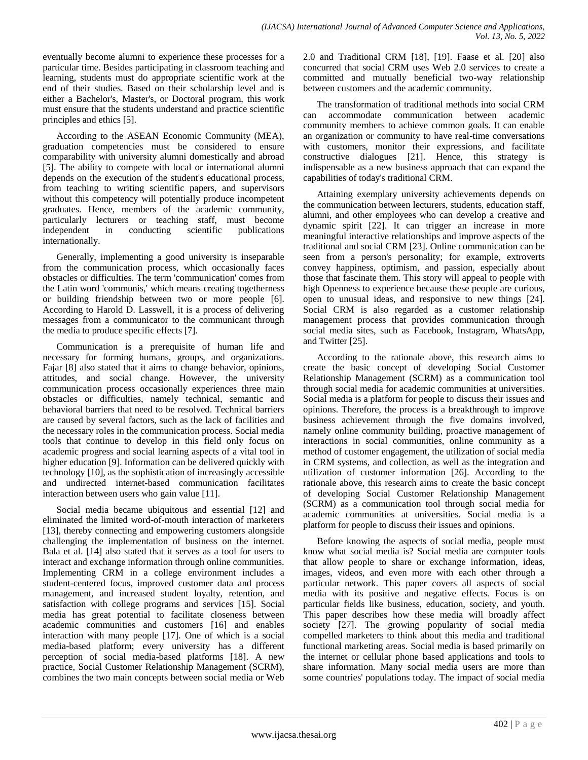eventually become alumni to experience these processes for a particular time. Besides participating in classroom teaching and learning, students must do appropriate scientific work at the end of their studies. Based on their scholarship level and is either a Bachelor's, Master's, or Doctoral program, this work must ensure that the students understand and practice scientific principles and ethics [5].

According to the ASEAN Economic Community (MEA), graduation competencies must be considered to ensure comparability with university alumni domestically and abroad [5]. The ability to compete with local or international alumni depends on the execution of the student's educational process, from teaching to writing scientific papers, and supervisors without this competency will potentially produce incompetent graduates. Hence, members of the academic community, particularly lecturers or teaching staff, must become independent in conducting scientific publications internationally.

Generally, implementing a good university is inseparable from the communication process, which occasionally faces obstacles or difficulties. The term 'communication' comes from the Latin word 'communis,' which means creating togetherness or building friendship between two or more people [6]. According to Harold D. Lasswell, it is a process of delivering messages from a communicator to the communicant through the media to produce specific effects [7].

Communication is a prerequisite of human life and necessary for forming humans, groups, and organizations. Fajar [8] also stated that it aims to change behavior, opinions, attitudes, and social change. However, the university communication process occasionally experiences three main obstacles or difficulties, namely technical, semantic and behavioral barriers that need to be resolved. Technical barriers are caused by several factors, such as the lack of facilities and the necessary roles in the communication process. Social media tools that continue to develop in this field only focus on academic progress and social learning aspects of a vital tool in higher education [9]. Information can be delivered quickly with technology [10], as the sophistication of increasingly accessible and undirected internet-based communication facilitates interaction between users who gain value [11].

Social media became ubiquitous and essential [12] and eliminated the limited word-of-mouth interaction of marketers [13], thereby connecting and empowering customers alongside challenging the implementation of business on the internet. Bala et al. [14] also stated that it serves as a tool for users to interact and exchange information through online communities. Implementing CRM in a college environment includes a student-centered focus, improved customer data and process management, and increased student loyalty, retention, and satisfaction with college programs and services [15]. Social media has great potential to facilitate closeness between academic communities and customers [16] and enables interaction with many people [17]. One of which is a social media-based platform; every university has a different perception of social media-based platforms [18]. A new practice, Social Customer Relationship Management (SCRM), combines the two main concepts between social media or Web

2.0 and Traditional CRM [18], [19]. Faase et al. [20] also concurred that social CRM uses Web 2.0 services to create a committed and mutually beneficial two-way relationship between customers and the academic community.

The transformation of traditional methods into social CRM can accommodate communication between academic community members to achieve common goals. It can enable an organization or community to have real-time conversations with customers, monitor their expressions, and facilitate constructive dialogues [21]. Hence, this strategy is indispensable as a new business approach that can expand the capabilities of today's traditional CRM.

Attaining exemplary university achievements depends on the communication between lecturers, students, education staff, alumni, and other employees who can develop a creative and dynamic spirit [22]. It can trigger an increase in more meaningful interactive relationships and improve aspects of the traditional and social CRM [23]. Online communication can be seen from a person's personality; for example, extroverts convey happiness, optimism, and passion, especially about those that fascinate them. This story will appeal to people with high Openness to experience because these people are curious, open to unusual ideas, and responsive to new things [24]. Social CRM is also regarded as a customer relationship management process that provides communication through social media sites, such as Facebook, Instagram, WhatsApp, and Twitter [25].

According to the rationale above, this research aims to create the basic concept of developing Social Customer Relationship Management (SCRM) as a communication tool through social media for academic communities at universities. Social media is a platform for people to discuss their issues and opinions. Therefore, the process is a breakthrough to improve business achievement through the five domains involved, namely online community building, proactive management of interactions in social communities, online community as a method of customer engagement, the utilization of social media in CRM systems, and collection, as well as the integration and utilization of customer information [26]. According to the rationale above, this research aims to create the basic concept of developing Social Customer Relationship Management (SCRM) as a communication tool through social media for academic communities at universities. Social media is a platform for people to discuss their issues and opinions.

Before knowing the aspects of social media, people must know what social media is? Social media are computer tools that allow people to share or exchange information, ideas, images, videos, and even more with each other through a particular network. This paper covers all aspects of social media with its positive and negative effects. Focus is on particular fields like business, education, society, and youth. This paper describes how these media will broadly affect society [27]. The growing popularity of social media compelled marketers to think about this media and traditional functional marketing areas. Social media is based primarily on the internet or cellular phone based applications and tools to share information. Many social media users are more than some countries' populations today. The impact of social media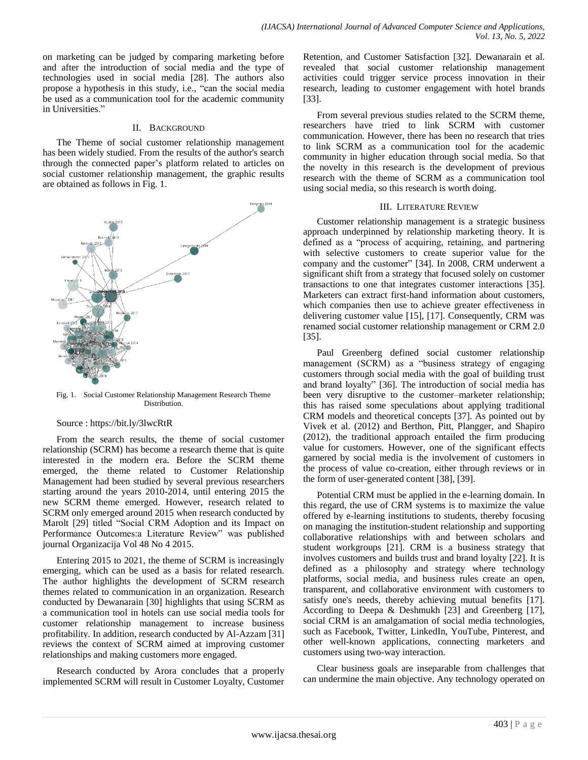on marketing can be judged by comparing marketing before and after the introduction of social media and the type of technologies used in social media [28]. The authors also propose a hypothesis in this study, i.e., "can the social media be used as a communication tool for the academic community in Universities."

## II. BACKGROUND

The Theme of social customer relationship management has been widely studied. From the results of the author's search through the connected paper"s platform related to articles on social customer relationship management, the graphic results are obtained as follows in Fig. 1.



Fig. 1. Social Customer Relationship Management Research Theme Distribution.

#### Source : https://bit.ly/3lwcRtR

From the search results, the theme of social customer relationship (SCRM) has become a research theme that is quite interested in the modern era. Before the SCRM theme emerged, the theme related to Customer Relationship Management had been studied by several previous researchers starting around the years 2010-2014, until entering 2015 the new SCRM theme emerged. However, research related to SCRM only emerged around 2015 when research conducted by Marolt [29] titled "Social CRM Adoption and its Impact on Performance Outcomes:a Literature Review" was published journal Organizacija Vol 48 No 4 2015.

Entering 2015 to 2021, the theme of SCRM is increasingly emerging, which can be used as a basis for related research. The author highlights the development of SCRM research themes related to communication in an organization. Research conducted by Dewanarain [30] highlights that using SCRM as a communication tool in hotels can use social media tools for customer relationship management to increase business profitability. In addition, research conducted by Al-Azzam [31] reviews the context of SCRM aimed at improving customer relationships and making customers more engaged.

Research conducted by Arora concludes that a properly implemented SCRM will result in Customer Loyalty, Customer Retention, and Customer Satisfaction [32]. Dewanarain et al. revealed that social customer relationship management activities could trigger service process innovation in their research, leading to customer engagement with hotel brands [33].

From several previous studies related to the SCRM theme, researchers have tried to link SCRM with customer communication. However, there has been no research that tries to link SCRM as a communication tool for the academic community in higher education through social media. So that the novelty in this research is the development of previous research with the theme of SCRM as a communication tool using social media, so this research is worth doing.

## III. LITERATURE REVIEW

Customer relationship management is a strategic business approach underpinned by relationship marketing theory. It is defined as a "process of acquiring, retaining, and partnering with selective customers to create superior value for the company and the customer" [34]. In 2008, CRM underwent a significant shift from a strategy that focused solely on customer transactions to one that integrates customer interactions [35]. Marketers can extract first-hand information about customers, which companies then use to achieve greater effectiveness in delivering customer value [15], [17]. Consequently, CRM was renamed social customer relationship management or CRM 2.0 [35].

Paul Greenberg defined social customer relationship management (SCRM) as a "business strategy of engaging customers through social media with the goal of building trust and brand loyalty" [36]. The introduction of social media has been very disruptive to the customer–marketer relationship; this has raised some speculations about applying traditional CRM models and theoretical concepts [37]. As pointed out by Vivek et al. (2012) and Berthon, Pitt, Plangger, and Shapiro (2012), the traditional approach entailed the firm producing value for customers. However, one of the significant effects garnered by social media is the involvement of customers in the process of value co-creation, either through reviews or in the form of user-generated content [38], [39].

Potential CRM must be applied in the e-learning domain. In this regard, the use of CRM systems is to maximize the value offered by e-learning institutions to students, thereby focusing on managing the institution-student relationship and supporting collaborative relationships with and between scholars and student workgroups [21]. CRM is a business strategy that involves customers and builds trust and brand loyalty [22]. It is defined as a philosophy and strategy where technology platforms, social media, and business rules create an open, transparent, and collaborative environment with customers to satisfy one's needs, thereby achieving mutual benefits [17]. According to Deepa & Deshmukh [23] and Greenberg [17], social CRM is an amalgamation of social media technologies, such as Facebook, Twitter, LinkedIn, YouTube, Pinterest, and other well-known applications, connecting marketers and customers using two-way interaction.

Clear business goals are inseparable from challenges that can undermine the main objective. Any technology operated on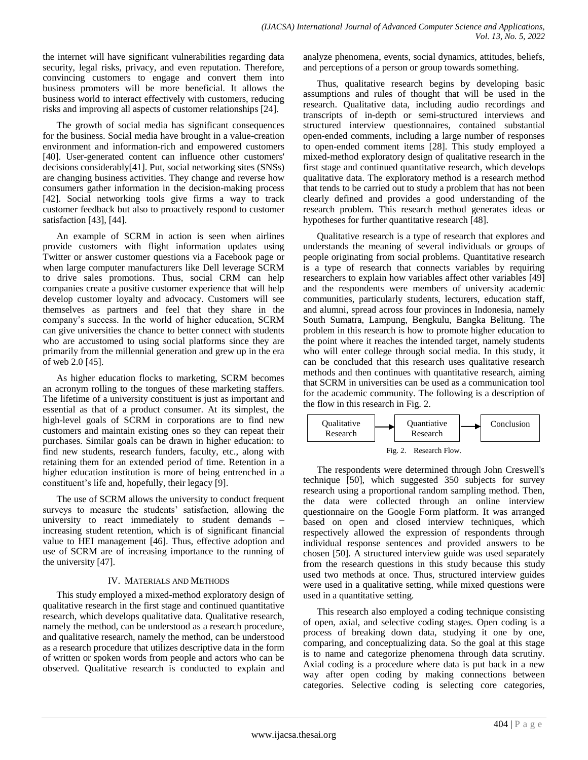the internet will have significant vulnerabilities regarding data security, legal risks, privacy, and even reputation. Therefore, convincing customers to engage and convert them into business promoters will be more beneficial. It allows the business world to interact effectively with customers, reducing risks and improving all aspects of customer relationships [24].

The growth of social media has significant consequences for the business. Social media have brought in a value-creation environment and information-rich and empowered customers [40]. User-generated content can influence other customers' decisions considerably[41]. Put, social networking sites (SNSs) are changing business activities. They change and reverse how consumers gather information in the decision-making process [42]. Social networking tools give firms a way to track customer feedback but also to proactively respond to customer satisfaction [43], [44].

An example of SCRM in action is seen when airlines provide customers with flight information updates using Twitter or answer customer questions via a Facebook page or when large computer manufacturers like Dell leverage SCRM to drive sales promotions. Thus, social CRM can help companies create a positive customer experience that will help develop customer loyalty and advocacy. Customers will see themselves as partners and feel that they share in the company"s success. In the world of higher education, SCRM can give universities the chance to better connect with students who are accustomed to using social platforms since they are primarily from the millennial generation and grew up in the era of web 2.0 [45].

As higher education flocks to marketing, SCRM becomes an acronym rolling to the tongues of these marketing staffers. The lifetime of a university constituent is just as important and essential as that of a product consumer. At its simplest, the high-level goals of SCRM in corporations are to find new customers and maintain existing ones so they can repeat their purchases. Similar goals can be drawn in higher education: to find new students, research funders, faculty, etc., along with retaining them for an extended period of time. Retention in a higher education institution is more of being entrenched in a constituent's life and, hopefully, their legacy [9].

The use of SCRM allows the university to conduct frequent surveys to measure the students' satisfaction, allowing the university to react immediately to student demands – increasing student retention, which is of significant financial value to HEI management [46]. Thus, effective adoption and use of SCRM are of increasing importance to the running of the university [47].

# IV. MATERIALS AND METHODS

This study employed a mixed-method exploratory design of qualitative research in the first stage and continued quantitative research, which develops qualitative data. Qualitative research, namely the method, can be understood as a research procedure, and qualitative research, namely the method, can be understood as a research procedure that utilizes descriptive data in the form of written or spoken words from people and actors who can be observed. Qualitative research is conducted to explain and analyze phenomena, events, social dynamics, attitudes, beliefs, and perceptions of a person or group towards something.

Thus, qualitative research begins by developing basic assumptions and rules of thought that will be used in the research. Qualitative data, including audio recordings and transcripts of in-depth or semi-structured interviews and structured interview questionnaires, contained substantial open-ended comments, including a large number of responses to open-ended comment items [28]. This study employed a mixed-method exploratory design of qualitative research in the first stage and continued quantitative research, which develops qualitative data. The exploratory method is a research method that tends to be carried out to study a problem that has not been clearly defined and provides a good understanding of the research problem. This research method generates ideas or hypotheses for further quantitative research [48].

Qualitative research is a type of research that explores and understands the meaning of several individuals or groups of people originating from social problems. Quantitative research is a type of research that connects variables by requiring researchers to explain how variables affect other variables [49] and the respondents were members of university academic communities, particularly students, lecturers, education staff, and alumni, spread across four provinces in Indonesia, namely South Sumatra, Lampung, Bengkulu, Bangka Belitung. The problem in this research is how to promote higher education to the point where it reaches the intended target, namely students who will enter college through social media. In this study, it can be concluded that this research uses qualitative research methods and then continues with quantitative research, aiming that SCRM in universities can be used as a communication tool for the academic community. The following is a description of the flow in this research in Fig. 2.



The respondents were determined through John Creswell's technique [50], which suggested 350 subjects for survey research using a proportional random sampling method. Then, the data were collected through an online interview questionnaire on the Google Form platform. It was arranged based on open and closed interview techniques, which respectively allowed the expression of respondents through individual response sentences and provided answers to be chosen [50]. A structured interview guide was used separately from the research questions in this study because this study used two methods at once. Thus, structured interview guides were used in a qualitative setting, while mixed questions were used in a quantitative setting.

This research also employed a coding technique consisting of open, axial, and selective coding stages. Open coding is a process of breaking down data, studying it one by one, comparing, and conceptualizing data. So the goal at this stage is to name and categorize phenomena through data scrutiny. Axial coding is a procedure where data is put back in a new way after open coding by making connections between categories. Selective coding is selecting core categories,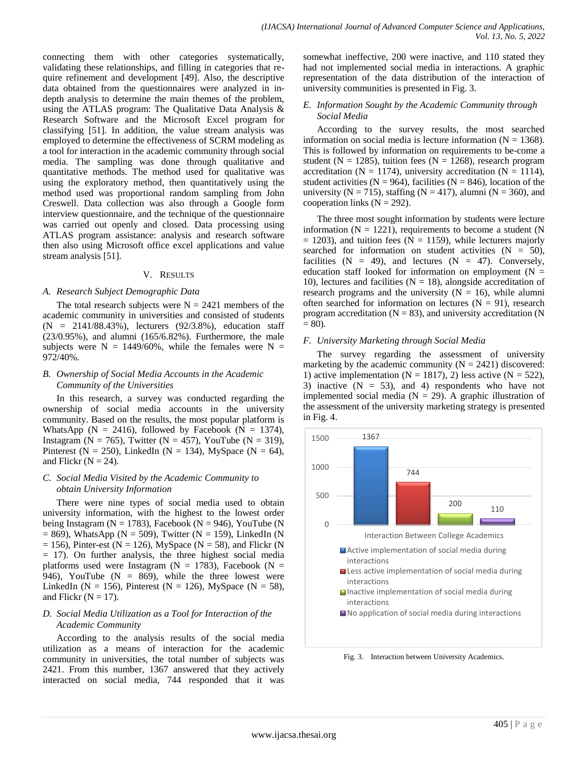connecting them with other categories systematically, validating these relationships, and filling in categories that require refinement and development [49]. Also, the descriptive data obtained from the questionnaires were analyzed in indepth analysis to determine the main themes of the problem, using the ATLAS program: The Qualitative Data Analysis & Research Software and the Microsoft Excel program for classifying [51]. In addition, the value stream analysis was employed to determine the effectiveness of SCRM modeling as a tool for interaction in the academic community through social media. The sampling was done through qualitative and quantitative methods. The method used for qualitative was using the exploratory method, then quantitatively using the method used was proportional random sampling from John Creswell. Data collection was also through a Google form interview questionnaire, and the technique of the questionnaire was carried out openly and closed. Data processing using ATLAS program assistance: analysis and research software then also using Microsoft office excel applications and value stream analysis [51].

## V. RESULTS

## *A. Research Subject Demographic Data*

The total research subjects were  $N = 2421$  members of the academic community in universities and consisted of students (N = 2141/88.43%), lecturers (92/3.8%), education staff (23/0.95%), and alumni (165/6.82%). Furthermore, the male subjects were  $N = 1449/60\%$ , while the females were  $N =$ 972/40%.

# *B. Ownership of Social Media Accounts in the Academic Community of the Universities*

In this research, a survey was conducted regarding the ownership of social media accounts in the university community. Based on the results, the most popular platform is WhatsApp ( $N = 2416$ ), followed by Facebook ( $N = 1374$ ), Instagram (N = 765), Twitter (N = 457), YouTube (N = 319), Pinterest (N = 250), LinkedIn (N = 134), MySpace (N = 64), and Flickr ( $N = 24$ ).

## *C. Social Media Visited by the Academic Community to obtain University Information*

There were nine types of social media used to obtain university information, with the highest to the lowest order being Instagram ( $N = 1783$ ), Facebook ( $N = 946$ ), YouTube (N  $= 869$ ), WhatsApp (N  $= 509$ ), Twitter (N  $= 159$ ), LinkedIn (N  $= 156$ ), Pinter-est (N = 126), MySpace (N = 58), and Flickr (N = 17). On further analysis, the three highest social media platforms used were Instagram ( $N = 1783$ ), Facebook ( $N = 1783$ ) 946), YouTube ( $N = 869$ ), while the three lowest were LinkedIn (N = 156), Pinterest (N = 126), MySpace (N = 58), and Flickr ( $N = 17$ ).

# *D. Social Media Utilization as a Tool for Interaction of the Academic Community*

According to the analysis results of the social media utilization as a means of interaction for the academic community in universities, the total number of subjects was 2421. From this number, 1367 answered that they actively interacted on social media, 744 responded that it was somewhat ineffective, 200 were inactive, and 110 stated they had not implemented social media in interactions. A graphic representation of the data distribution of the interaction of university communities is presented in Fig. 3.

# *E. Information Sought by the Academic Community through Social Media*

According to the survey results, the most searched information on social media is lecture information  $(N = 1368)$ . This is followed by information on requirements to be-come a student ( $N = 1285$ ), tuition fees ( $N = 1268$ ), research program accreditation ( $N = 1174$ ), university accreditation ( $N = 1114$ ), student activities ( $N = 964$ ), facilities ( $N = 846$ ), location of the university ( $N = 715$ ), staffing ( $N = 417$ ), alumni ( $N = 360$ ), and cooperation links  $(N = 292)$ .

The three most sought information by students were lecture information ( $N = 1221$ ), requirements to become a student ( $N$  $= 1203$ ), and tuition fees (N  $= 1159$ ), while lecturers majorly searched for information on student activities  $(N = 50)$ , facilities  $(N = 49)$ , and lectures  $(N = 47)$ . Conversely, education staff looked for information on employment ( $N =$ 10), lectures and facilities ( $N = 18$ ), alongside accreditation of research programs and the university  $(N = 16)$ , while alumni often searched for information on lectures  $(N = 91)$ , research program accreditation ( $N = 83$ ), and university accreditation (N)  $= 80$ ).

# *F. University Marketing through Social Media*

The survey regarding the assessment of university marketing by the academic community  $(N = 2421)$  discovered: 1) active implementation ( $N = 1817$ ), 2) less active ( $N = 522$ ), 3) inactive  $(N = 53)$ , and 4) respondents who have not implemented social media ( $N = 29$ ). A graphic illustration of the assessment of the university marketing strategy is presented in Fig. 4.



Fig. 3. Interaction between University Academics.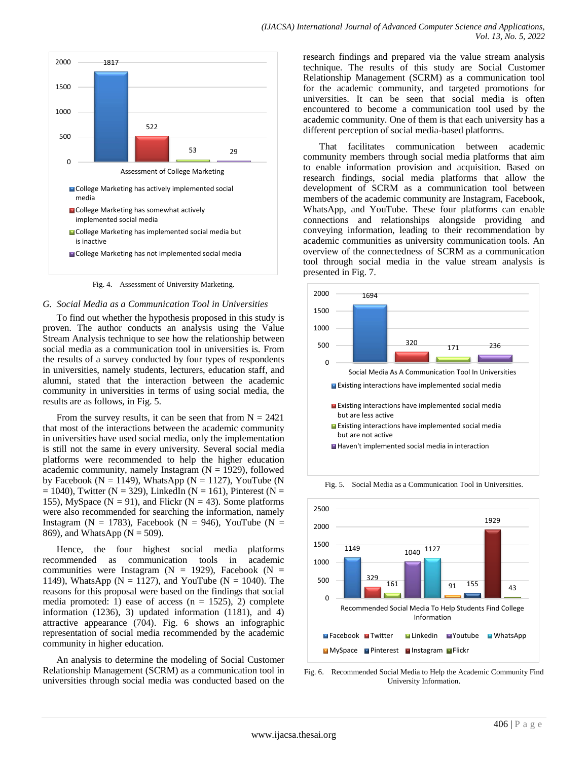

Fig. 4. Assessment of University Marketing.

#### *G. Social Media as a Communication Tool in Universities*

To find out whether the hypothesis proposed in this study is proven. The author conducts an analysis using the Value Stream Analysis technique to see how the relationship between social media as a communication tool in universities is. From the results of a survey conducted by four types of respondents in universities, namely students, lecturers, education staff, and alumni, stated that the interaction between the academic community in universities in terms of using social media, the results are as follows, in Fig. 5.

From the survey results, it can be seen that from  $N = 2421$ that most of the interactions between the academic community in universities have used social media, only the implementation is still not the same in every university. Several social media platforms were recommended to help the higher education academic community, namely Instagram  $(N = 1929)$ , followed by Facebook ( $N = 1149$ ), WhatsApp ( $N = 1127$ ), YouTube (N  $= 1040$ ), Twitter (N = 329), LinkedIn (N = 161), Pinterest (N = 155), MySpace ( $N = 91$ ), and Flickr ( $N = 43$ ). Some platforms were also recommended for searching the information, namely Instagram (N = 1783), Facebook (N = 946), YouTube (N = 869), and WhatsApp ( $N = 509$ ).

Hence, the four highest social media platforms recommended as communication tools in academic communities were Instagram ( $N = 1929$ ), Facebook ( $N =$ 1149), WhatsApp ( $N = 1127$ ), and YouTube ( $N = 1040$ ). The reasons for this proposal were based on the findings that social media promoted: 1) ease of access  $(n = 1525)$ , 2) complete information (1236), 3) updated information (1181), and 4) attractive appearance (704). Fig. 6 shows an infographic representation of social media recommended by the academic community in higher education.

An analysis to determine the modeling of Social Customer Relationship Management (SCRM) as a communication tool in universities through social media was conducted based on the research findings and prepared via the value stream analysis technique. The results of this study are Social Customer Relationship Management (SCRM) as a communication tool for the academic community, and targeted promotions for universities. It can be seen that social media is often encountered to become a communication tool used by the academic community. One of them is that each university has a different perception of social media-based platforms.

That facilitates communication between academic community members through social media platforms that aim to enable information provision and acquisition. Based on research findings, social media platforms that allow the development of SCRM as a communication tool between members of the academic community are Instagram, Facebook, WhatsApp, and YouTube. These four platforms can enable connections and relationships alongside providing and conveying information, leading to their recommendation by academic communities as university communication tools. An overview of the connectedness of SCRM as a communication tool through social media in the value stream analysis is presented in Fig. 7.



Fig. 5. Social Media as a Communication Tool in Universities.



Fig. 6. Recommended Social Media to Help the Academic Community Find University Information.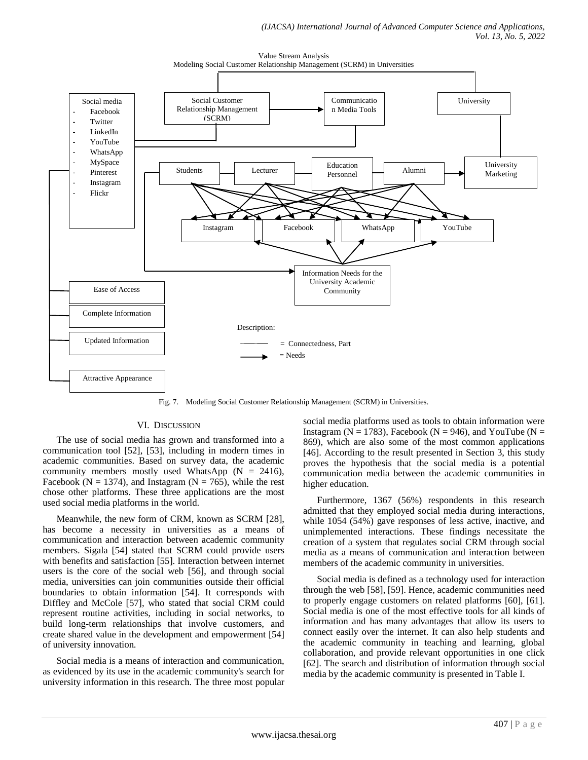

Value Stream Analysis

Fig. 7. Modeling Social Customer Relationship Management (SCRM) in Universities.

# VI. DISCUSSION

The use of social media has grown and transformed into a communication tool [52], [53], including in modern times in academic communities. Based on survey data, the academic community members mostly used WhatsApp  $(N = 2416)$ , Facebook ( $N = 1374$ ), and Instagram ( $N = 765$ ), while the rest chose other platforms. These three applications are the most used social media platforms in the world.

Meanwhile, the new form of CRM, known as SCRM [28], has become a necessity in universities as a means of communication and interaction between academic community members. Sigala [54] stated that SCRM could provide users with benefits and satisfaction [55]. Interaction between internet users is the core of the social web [56], and through social media, universities can join communities outside their official boundaries to obtain information [54]. It corresponds with Diffley and McCole [57], who stated that social CRM could represent routine activities, including in social networks, to build long-term relationships that involve customers, and create shared value in the development and empowerment [54] of university innovation.

Social media is a means of interaction and communication, as evidenced by its use in the academic community's search for university information in this research. The three most popular social media platforms used as tools to obtain information were Instagram ( $N = 1783$ ), Facebook ( $N = 946$ ), and YouTube ( $N =$ 869), which are also some of the most common applications [46]. According to the result presented in Section 3, this study proves the hypothesis that the social media is a potential communication media between the academic communities in higher education.

Furthermore, 1367 (56%) respondents in this research admitted that they employed social media during interactions, while 1054 (54%) gave responses of less active, inactive, and unimplemented interactions. These findings necessitate the creation of a system that regulates social CRM through social media as a means of communication and interaction between members of the academic community in universities.

Social media is defined as a technology used for interaction through the web [58], [59]. Hence, academic communities need to properly engage customers on related platforms [60], [61]. Social media is one of the most effective tools for all kinds of information and has many advantages that allow its users to connect easily over the internet. It can also help students and the academic community in teaching and learning, global collaboration, and provide relevant opportunities in one click [62]. The search and distribution of information through social media by the academic community is presented in Table I.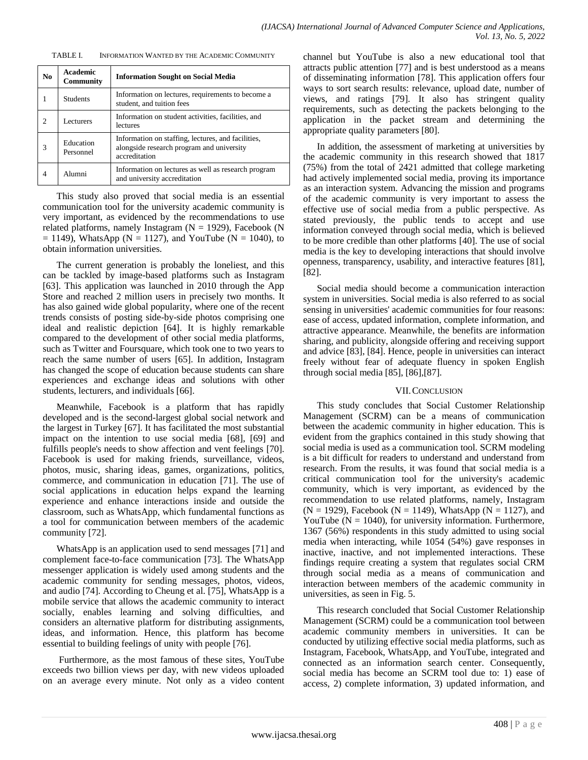TABLE I. INFORMATION WANTED BY THE ACADEMIC COMMUNITY

| N <sub>0</sub> | Academic<br><b>Community</b> | <b>Information Sought on Social Media</b>                                                                        |
|----------------|------------------------------|------------------------------------------------------------------------------------------------------------------|
|                | <b>Students</b>              | Information on lectures, requirements to become a<br>student, and tuition fees                                   |
| 2              | <b>Lecturers</b>             | Information on student activities, facilities, and<br>lectures                                                   |
| $\mathcal{R}$  | Education<br>Personnel       | Information on staffing, lectures, and facilities,<br>alongside research program and university<br>accreditation |
|                | Alumni                       | Information on lectures as well as research program<br>and university accreditation                              |

This study also proved that social media is an essential communication tool for the university academic community is very important, as evidenced by the recommendations to use related platforms, namely Instagram  $(N = 1929)$ , Facebook (N)  $= 1149$ ), WhatsApp (N = 1127), and YouTube (N = 1040), to obtain information universities.

The current generation is probably the loneliest, and this can be tackled by image-based platforms such as Instagram [63]. This application was launched in 2010 through the App Store and reached 2 million users in precisely two months. It has also gained wide global popularity, where one of the recent trends consists of posting side-by-side photos comprising one ideal and realistic depiction [64]. It is highly remarkable compared to the development of other social media platforms, such as Twitter and Foursquare, which took one to two years to reach the same number of users [65]. In addition, Instagram has changed the scope of education because students can share experiences and exchange ideas and solutions with other students, lecturers, and individuals [66].

Meanwhile, Facebook is a platform that has rapidly developed and is the second-largest global social network and the largest in Turkey [67]. It has facilitated the most substantial impact on the intention to use social media [68], [69] and fulfills people's needs to show affection and vent feelings [70]. Facebook is used for making friends, surveillance, videos, photos, music, sharing ideas, games, organizations, politics, commerce, and communication in education [71]. The use of social applications in education helps expand the learning experience and enhance interactions inside and outside the classroom, such as WhatsApp, which fundamental functions as a tool for communication between members of the academic community [72].

WhatsApp is an application used to send messages [71] and complement face-to-face communication [73]. The WhatsApp messenger application is widely used among students and the academic community for sending messages, photos, videos, and audio [74]. According to Cheung et al. [75], WhatsApp is a mobile service that allows the academic community to interact socially, enables learning and solving difficulties, and considers an alternative platform for distributing assignments, ideas, and information. Hence, this platform has become essential to building feelings of unity with people [76].

Furthermore, as the most famous of these sites, YouTube exceeds two billion views per day, with new videos uploaded on an average every minute. Not only as a video content channel but YouTube is also a new educational tool that attracts public attention [77] and is best understood as a means of disseminating information [78]. This application offers four ways to sort search results: relevance, upload date, number of views, and ratings [79]. It also has stringent quality requirements, such as detecting the packets belonging to the application in the packet stream and determining the appropriate quality parameters [80].

In addition, the assessment of marketing at universities by the academic community in this research showed that 1817 (75%) from the total of 2421 admitted that college marketing had actively implemented social media, proving its importance as an interaction system. Advancing the mission and programs of the academic community is very important to assess the effective use of social media from a public perspective. As stated previously, the public tends to accept and use information conveyed through social media, which is believed to be more credible than other platforms [40]. The use of social media is the key to developing interactions that should involve openness, transparency, usability, and interactive features [81], [82].

Social media should become a communication interaction system in universities. Social media is also referred to as social sensing in universities' academic communities for four reasons: ease of access, updated information, complete information, and attractive appearance. Meanwhile, the benefits are information sharing, and publicity, alongside offering and receiving support and advice [83], [84]. Hence, people in universities can interact freely without fear of adequate fluency in spoken English through social media [85], [86],[87].

# VII.CONCLUSION

This study concludes that Social Customer Relationship Management (SCRM) can be a means of communication between the academic community in higher education. This is evident from the graphics contained in this study showing that social media is used as a communication tool. SCRM modeling is a bit difficult for readers to understand and understand from research. From the results, it was found that social media is a critical communication tool for the university's academic community, which is very important, as evidenced by the recommendation to use related platforms, namely, Instagram  $(N = 1929)$ , Facebook  $(N = 1149)$ , WhatsApp  $(N = 1127)$ , and YouTube ( $N = 1040$ ), for university information. Furthermore, 1367 (56%) respondents in this study admitted to using social media when interacting, while 1054 (54%) gave responses in inactive, inactive, and not implemented interactions. These findings require creating a system that regulates social CRM through social media as a means of communication and interaction between members of the academic community in universities, as seen in Fig. 5.

This research concluded that Social Customer Relationship Management (SCRM) could be a communication tool between academic community members in universities. It can be conducted by utilizing effective social media platforms, such as Instagram, Facebook, WhatsApp, and YouTube, integrated and connected as an information search center. Consequently, social media has become an SCRM tool due to: 1) ease of access, 2) complete information, 3) updated information, and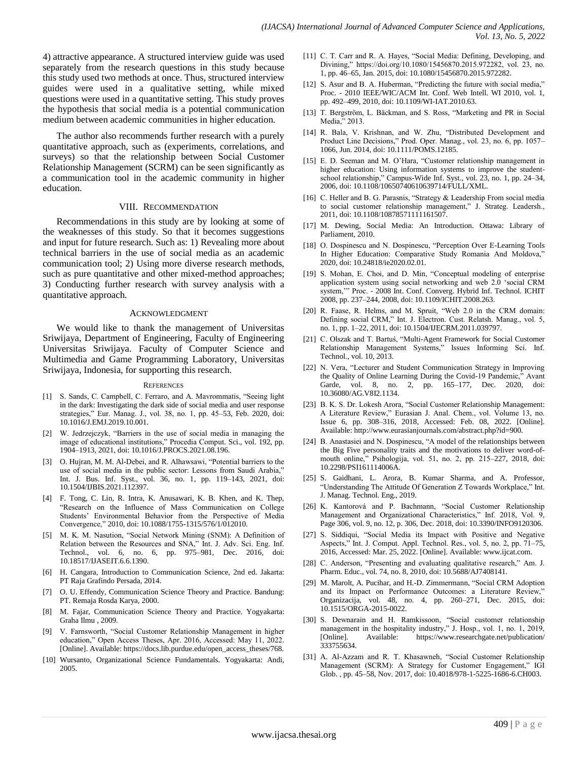4) attractive appearance. A structured interview guide was used separately from the research questions in this study because this study used two methods at once. Thus, structured interview guides were used in a qualitative setting, while mixed questions were used in a quantitative setting. This study proves the hypothesis that social media is a potential communication medium between academic communities in higher education.

The author also recommends further research with a purely quantitative approach, such as (experiments, correlations, and surveys) so that the relationship between Social Customer Relationship Management (SCRM) can be seen significantly as a communication tool in the academic community in higher education.

#### VIII. RECOMMENDATION

Recommendations in this study are by looking at some of the weaknesses of this study. So that it becomes suggestions and input for future research. Such as: 1) Revealing more about technical barriers in the use of social media as an academic communication tool; 2) Using more diverse research methods, such as pure quantitative and other mixed-method approaches; 3) Conducting further research with survey analysis with a quantitative approach.

#### ACKNOWLEDGMENT

We would like to thank the management of Universitas Sriwijaya, Department of Engineering, Faculty of Engineering Universitas Sriwijaya. Faculty of Computer Science and Multimedia and Game Programming Laboratory, Universitas Sriwijaya, Indonesia, for supporting this research.

#### **REFERENCES**

- [1] S. Sands, C. Campbell, C. Ferraro, and A. Mavrommatis, "Seeing light in the dark: Investigating the dark side of social media and user response strategies," Eur. Manag. J., vol. 38, no. 1, pp. 45–53, Feb. 2020, doi: 10.1016/J.EMJ.2019.10.001.
- [2] W. Jedrzejczyk, "Barriers in the use of social media in managing the image of educational institutions," Procedia Comput. Sci., vol. 192, pp. 1904–1913, 2021, doi: 10.1016/J.PROCS.2021.08.196.
- [3] O. Hujran, M. M. Al-Debei, and R. Alhawsawi, "Potential barriers to the use of social media in the public sector: Lessons from Saudi Arabia," Int. J. Bus. Inf. Syst., vol. 36, no. 1, pp. 119–143, 2021, doi: 10.1504/IJBIS.2021.112397.
- [4] F. Tong, C. Lin, R. Intra, K. Anusawari, K. B. Khen, and K. Thep, "Research on the Influence of Mass Communication on College Students' Environmental Behavior from the Perspective of Media Convergence," 2010, doi: 10.1088/1755-1315/576/1/012010.
- [5] M. K. M. Nasution, "Social Network Mining (SNM): A Definition of Relation between the Resources and SNA," Int. J. Adv. Sci. Eng. Inf. Technol., vol. 6, no. 6, pp. 975–981, Dec. 2016, doi: 10.18517/IJASEIT.6.6.1390.
- [6] H. Cangara, Introduction to Communication Science, 2nd ed. Jakarta: PT Raja Grafindo Persada, 2014.
- [7] O. U. Effendy, Communication Science Theory and Practice. Bandung: PT. Remaja Rosda Karya, 2000.
- [8] M. Fajar, Communication Science Theory and Practice. Yogyakarta: Graha Ilmu , 2009.
- [9] V. Farnsworth, "Social Customer Relationship Management in higher education," Open Access Theses, Apr. 2016, Accessed: May 11, 2022. [Online]. Available: https://docs.lib.purdue.edu/open\_access\_theses/768.
- [10] Wursanto, Organizational Science Fundamentals. Yogyakarta: Andi, 2005.
- [11] C. T. Carr and R. A. Hayes, "Social Media: Defining, Developing, and Divining," https://doi.org/10.1080/15456870.2015.972282, vol. 23, no. 1, pp. 46–65, Jan. 2015, doi: 10.1080/15456870.2015.972282.
- [12] S. Asur and B. A. Huberman, "Predicting the future with social media," Proc. - 2010 IEEE/WIC/ACM Int. Conf. Web Intell. WI 2010, vol. 1, pp. 492–499, 2010, doi: 10.1109/WI-IAT.2010.63.
- [13] T. Bergström, L. Bäckman, and S. Ross, "Marketing and PR in Social Media," 2013.
- [14] R. Bala, V. Krishnan, and W. Zhu, "Distributed Development and Product Line Decisions," Prod. Oper. Manag., vol. 23, no. 6, pp. 1057– 1066, Jun. 2014, doi: 10.1111/POMS.12185.
- [15] E. D. Seeman and M. O"Hara, "Customer relationship management in higher education: Using information systems to improve the studentschool relationship," Campus-Wide Inf. Syst., vol. 23, no. 1, pp. 24–34, 2006, doi: 10.1108/10650740610639714/FULL/XML.
- [16] C. Heller and B. G. Parasnis, "Strategy & Leadership From social media to social customer relationship management," J. Strateg. Leadersh., 2011, doi: 10.1108/10878571111161507.
- [17] M. Dewing, Social Media: An Introduction. Ottawa: Library of Parliament, 2010.
- [18] O. Dospinescu and N. Dospinescu, "Perception Over E-Learning Tools In Higher Education: Comparative Study Romania And Moldova," 2020, doi: 10.24818/ie2020.02.01.
- [19] S. Mohan, E. Choi, and D. Min, "Conceptual modeling of enterprise application system using social networking and web 2.0 "social CRM system,"" Proc. - 2008 Int. Conf. Converg. Hybrid Inf. Technol. ICHIT 2008, pp. 237–244, 2008, doi: 10.1109/ICHIT.2008.263.
- [20] R. Faase, R. Helms, and M. Spruit, "Web 2.0 in the CRM domain: Defining social CRM," Int. J. Electron. Cust. Relatsh. Manag., vol. 5, no. 1, pp. 1–22, 2011, doi: 10.1504/IJECRM.2011.039797.
- [21] C. Olszak and T. Bartuś, "Multi-Agent Framework for Social Customer Relationship Management Systems," Issues Informing Sci. Inf. Technol., vol. 10, 2013.
- [22] N. Vera, "Lecturer and Student Communication Strategy in Improving the Quality of Online Learning During the Covid-19 Pandemic," Avant Garde, vol. 8, no. 2, pp. 165–177, Dec. 2020, doi: 10.36080/AG.V8I2.1134.
- [23] B. K. S. Dr. Lokesh Arora, "Social Customer Relationship Management: A Literature Review," Eurasian J. Anal. Chem., vol. Volume 13, no. Issue 6, pp. 308–316, 2018, Accessed: Feb. 08, 2022. [Online]. Available: http://www.eurasianjournals.com/abstract.php?id=900.
- [24] B. Anastasiei and N. Dospinescu, "A model of the relationships between the Big Five personality traits and the motivations to deliver word-ofmouth online," Psihologija, vol. 51, no. 2, pp. 215–227, 2018, doi: 10.2298/PSI161114006A.
- [25] S. Gaidhani, L. Arora, B. Kumar Sharma, and A. Professor, "Understanding The Attitude Of Generation Z Towards Workplace," Int. J. Manag. Technol. Eng., 2019.
- [26] K. Kantorová and P. Bachmann, "Social Customer Relationship Management and Organizational Characteristics," Inf. 2018, Vol. 9, Page 306, vol. 9, no. 12, p. 306, Dec. 2018, doi: 10.3390/INFO9120306.
- [27] S. Siddiqui, "Social Media its Impact with Positive and Negative Aspects," Int. J. Comput. Appl. Technol. Res., vol. 5, no. 2, pp. 71–75, 2016, Accessed: Mar. 25, 2022. [Online]. Available: www.ijcat.com.
- [28] C. Anderson, "Presenting and evaluating qualitative research," Am. J. Pharm. Educ., vol. 74, no. 8, 2010, doi: 10.5688/AJ7408141.
- [29] M. Marolt, A. Pucihar, and H.-D. Zimmermann, "Social CRM Adoption and its Impact on Performance Outcomes: a Literature Review," Organizacija, vol. 48, no. 4, pp. 260–271, Dec. 2015, doi: 10.1515/ORGA-2015-0022.
- [30] S. Dewnarain and H. Ramkissoon, "Social customer relationship management in the hospitality industry," J. Hosp., vol. 1, no. 1, 2019, [Online]. Available: https://www.researchgate.net/publication/ 333755634.
- [31] A. Al-Azzam and R. T. Khasawneh, "Social Customer Relationship Management (SCRM): A Strategy for Customer Engagement," IGI Glob. , pp. 45–58, Nov. 2017, doi: 10.4018/978-1-5225-1686-6.CH003.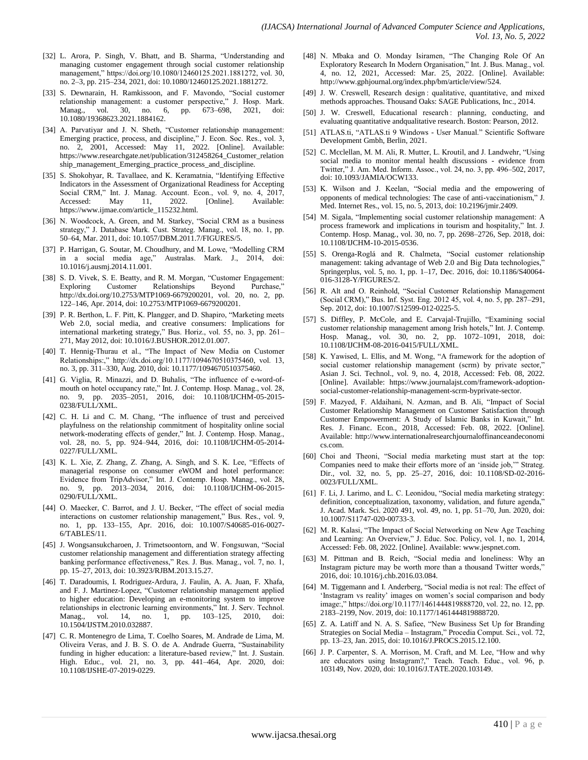- [32] L. Arora, P. Singh, V. Bhatt, and B. Sharma, "Understanding and managing customer engagement through social customer relationship management," https://doi.org/10.1080/12460125.2021.1881272, vol. 30, no. 2–3, pp. 215–234, 2021, doi: 10.1080/12460125.2021.1881272.
- [33] S. Dewnarain, H. Ramkissoon, and F. Mavondo, "Social customer relationship management: a customer perspective," J. Hosp. Mark. Manag., vol. 30, no. 6, pp. 673–698, 2021, doi: 10.1080/19368623.2021.1884162.
- [34] A. Parvatiyar and J. N. Sheth, "Customer relationship management: Emerging practice, process, and discipline," J. Econ. Soc. Res., vol. 3, no. 2, 2001, Accessed: May 11, 2022. [Online]. Available: https://www.researchgate.net/publication/312458264\_Customer\_relation ship\_management\_Emerging\_practice\_process\_and\_discipline.
- [35] S. Shokohyar, R. Tavallaee, and K. Keramatnia, "Identifying Effective Indicators in the Assessment of Organizational Readiness for Accepting Social CRM," Int. J. Manag. Account. Econ., vol. 9, no. 4, 2017, Accessed: May 11, 2022. [Online]. Available: https://www.ijmae.com/article\_115232.html.
- [36] N. Woodcock, A. Green, and M. Starkey, "Social CRM as a business strategy," J. Database Mark. Cust. Strateg. Manag., vol. 18, no. 1, pp. 50–64, Mar. 2011, doi: 10.1057/DBM.2011.7/FIGURES/5.
- [37] P. Harrigan, G. Soutar, M. Choudhury, and M. Lowe, "Modelling CRM in a social media age," Australas. Mark. J., 2014, doi: 10.1016/j.ausmj.2014.11.001.
- [38] S. D. Vivek, S. E. Beatty, and R. M. Morgan, "Customer Engagement: Exploring Customer Relationships Beyond Purchase," http://dx.doi.org/10.2753/MTP1069-6679200201, vol. 20, no. 2, pp. 122–146, Apr. 2014, doi: 10.2753/MTP1069-6679200201.
- [39] P. R. Berthon, L. F. Pitt, K. Plangger, and D. Shapiro, "Marketing meets Web 2.0, social media, and creative consumers: Implications for international marketing strategy," Bus. Horiz., vol. 55, no. 3, pp. 261– 271, May 2012, doi: 10.1016/J.BUSHOR.2012.01.007.
- [40] T. Hennig-Thurau et al., "The Impact of New Media on Customer Relationships:," http://dx.doi.org/10.1177/1094670510375460, vol. 13, no. 3, pp. 311–330, Aug. 2010, doi: 10.1177/1094670510375460.
- [41] G. Viglia, R. Minazzi, and D. Buhalis, "The influence of e-word-ofmouth on hotel occupancy rate," Int. J. Contemp. Hosp. Manag., vol. 28, no. 9, pp. 2035–2051, 2016, doi: 10.1108/IJCHM-05-2015- 0238/FULL/XML.
- [42] C. H. Li and C. M. Chang, "The influence of trust and perceived playfulness on the relationship commitment of hospitality online social network-moderating effects of gender," Int. J. Contemp. Hosp. Manag., vol. 28, no. 5, pp. 924–944, 2016, doi: 10.1108/IJCHM-05-2014- 0227/FULL/XML.
- [43] K. L. Xie, Z. Zhang, Z. Zhang, A. Singh, and S. K. Lee, "Effects of managerial response on consumer eWOM and hotel performance: Evidence from TripAdvisor," Int. J. Contemp. Hosp. Manag., vol. 28, no. 9, pp. 2013–2034, 2016, doi: 10.1108/IJCHM-06-2015- 0290/FULL/XML.
- [44] O. Maecker, C. Barrot, and J. U. Becker, "The effect of social media interactions on customer relationship management," Bus. Res., vol. 9, no. 1, pp. 133–155, Apr. 2016, doi: 10.1007/S40685-016-0027- 6/TABLES/11.
- [45] J. Wongsansukcharoen, J. Trimetsoontorn, and W. Fongsuwan, "Social customer relationship management and differentiation strategy affecting banking performance effectiveness," Res. J. Bus. Manag., vol. 7, no. 1, pp. 15–27, 2013, doi: 10.3923/RJBM.2013.15.27.
- [46] T. Daradoumis, I. Rodriguez-Ardura, J. Faulin, A. A. Juan, F. Xhafa, and F. J. Martinez-Lopez, "Customer relationship management applied to higher education: Developing an e-monitoring system to improve relationships in electronic learning environments," Int. J. Serv. Technol. Manag., vol. 14, no. 1, pp. 103–125, 2010, doi: 10.1504/IJSTM.2010.032887.
- [47] C. R. Montenegro de Lima, T. Coelho Soares, M. Andrade de Lima, M. Oliveira Veras, and J. B. S. O. de A. Andrade Guerra, "Sustainability funding in higher education: a literature-based review," Int. J. Sustain. High. Educ., vol. 21, no. 3, pp. 441–464, Apr. 2020, doi: 10.1108/IJSHE-07-2019-0229.
- [48] N. Mbaka and O. Monday Isiramen, "The Changing Role Of An Exploratory Research In Modern Organisation," Int. J. Bus. Manag., vol. 4, no. 12, 2021, Accessed: Mar. 25, 2022. [Online]. Available: http://www.gphjournal.org/index.php/bm/article/view/524.
- [49] J. W. Creswell, Research design : qualitative, quantitative, and mixed methods approaches. Thousand Oaks: SAGE Publications, Inc., 2014.
- [50] J. W. Creswell, Educational research : planning, conducting, and evaluating quantitative andqualitative research. Boston: Pearson, 2012.
- [51] ATLAS.ti, "ATLAS.ti 9 Windows User Manual." Scientific Software Development Gmbh, Berlin, 2021.
- [52] C. Mcclellan, M. M. Ali, R. Mutter, L. Kroutil, and J. Landwehr, "Using social media to monitor mental health discussions - evidence from Twitter," J. Am. Med. Inform. Assoc., vol. 24, no. 3, pp. 496–502, 2017, doi: 10.1093/JAMIA/OCW133.
- [53] K. Wilson and J. Keelan, "Social media and the empowering of opponents of medical technologies: The case of anti-vaccinationism," J. Med. Internet Res., vol. 15, no. 5, 2013, doi: 10.2196/jmir.2409.
- [54] M. Sigala, "Implementing social customer relationship management: A process framework and implications in tourism and hospitality," Int. J. Contemp. Hosp. Manag., vol. 30, no. 7, pp. 2698–2726, Sep. 2018, doi: 10.1108/IJCHM-10-2015-0536.
- [55] S. Orenga-Roglá and R. Chalmeta, "Social customer relationship management: taking advantage of Web 2.0 and Big Data technologies, Springerplus, vol. 5, no. 1, pp. 1–17, Dec. 2016, doi: 10.1186/S40064- 016-3128-Y/FIGURES/2.
- [56] R. Alt and O. Reinhold, "Social Customer Relationship Management (Social CRM)," Bus. Inf. Syst. Eng. 2012 45, vol. 4, no. 5, pp. 287–291, Sep. 2012, doi: 10.1007/S12599-012-0225-5.
- [57] S. Diffley, P. McCole, and E. Carvajal-Trujillo, "Examining social customer relationship management among Irish hotels," Int. J. Contemp. Hosp. Manag., vol. 30, no. 2, pp. 1072–1091, 2018, doi: 10.1108/IJCHM-08-2016-0415/FULL/XML.
- [58] K. Yawised, L. Ellis, and M. Wong, "A framework for the adoption of social customer relationship management (scrm) by private sector," Asian J. Sci. Technol., vol. 9, no. 4, 2018, Accessed: Feb. 08, 2022. [Online]. Available: https://www.journalajst.com/framework-adoptionsocial-customer-relationship-management-scrm-byprivate-sector.
- [59] F. Mazyed, F. Aldaihani, N. Azman, and B. Ali, "Impact of Social Customer Relationship Management on Customer Satisfaction through Customer Empowerment: A Study of Islamic Banks in Kuwait," Int. Res. J. Financ. Econ., 2018, Accessed: Feb. 08, 2022. [Online]. Available: http://www.internationalresearchjournaloffinanceandeconomi cs.com.
- [60] Choi and Theoni, "Social media marketing must start at the top: Companies need to make their efforts more of an "inside job,"" Strateg. Dir., vol. 32, no. 5, pp. 25–27, 2016, doi: 10.1108/SD-02-2016- 0023/FULL/XML.
- [61] F. Li, J. Larimo, and L. C. Leonidou, "Social media marketing strategy: definition, conceptualization, taxonomy, validation, and future agenda,' J. Acad. Mark. Sci. 2020 491, vol. 49, no. 1, pp. 51–70, Jun. 2020, doi: 10.1007/S11747-020-00733-3.
- [62] M. R. Kalasi, "The Impact of Social Networking on New Age Teaching and Learning: An Overview," J. Educ. Soc. Policy, vol. 1, no. 1, 2014, Accessed: Feb. 08, 2022. [Online]. Available: www.jespnet.com.
- [63] M. Pittman and B. Reich, "Social media and loneliness: Why an Instagram picture may be worth more than a thousand Twitter words," 2016, doi: 10.1016/j.chb.2016.03.084.
- [64] M. Tiggemann and I. Anderberg, "Social media is not real: The effect of 'Instagram vs reality' images on women's social comparison and body image:," https://doi.org/10.1177/1461444819888720, vol. 22, no. 12, pp. 2183–2199, Nov. 2019, doi: 10.1177/1461444819888720.
- [65] Z. A. Latiff and N. A. S. Safiee, "New Business Set Up for Branding Strategies on Social Media – Instagram," Procedia Comput. Sci., vol. 72, pp. 13–23, Jan. 2015, doi: 10.1016/J.PROCS.2015.12.100.
- [66] J. P. Carpenter, S. A. Morrison, M. Craft, and M. Lee, "How and why are educators using Instagram?," Teach. Teach. Educ., vol. 96, p. 103149, Nov. 2020, doi: 10.1016/J.TATE.2020.103149.